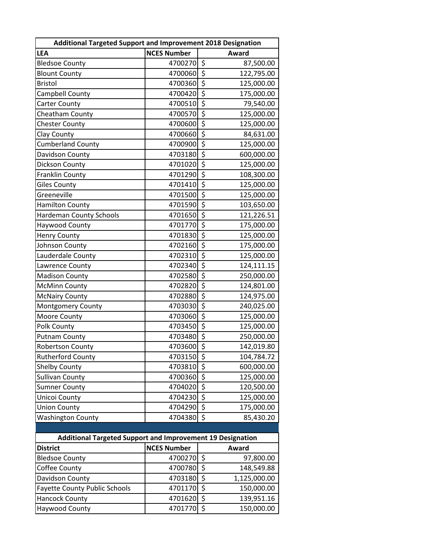| <b>Additional Targeted Support and Improvement 2018 Designation</b> |                    |                                 |              |  |  |
|---------------------------------------------------------------------|--------------------|---------------------------------|--------------|--|--|
| <b>LEA</b>                                                          | <b>NCES Number</b> |                                 | <b>Award</b> |  |  |
| <b>Bledsoe County</b>                                               | 4700270            | \$                              | 87,500.00    |  |  |
| <b>Blount County</b>                                                | 4700060            | $\overline{\boldsymbol{\zeta}}$ | 122,795.00   |  |  |
| <b>Bristol</b>                                                      | 4700360            | $\overline{\boldsymbol{\zeta}}$ | 125,000.00   |  |  |
| Campbell County                                                     | 4700420            | $\overline{\boldsymbol{\xi}}$   | 175,000.00   |  |  |
| <b>Carter County</b>                                                | 4700510            | $\overline{\xi}$                | 79,540.00    |  |  |
| Cheatham County                                                     | 4700570            | $\overline{\xi}$                | 125,000.00   |  |  |
| <b>Chester County</b>                                               | 4700600            | \$                              | 125,000.00   |  |  |
| Clay County                                                         | 4700660            | $\overline{\xi}$                | 84,631.00    |  |  |
| <b>Cumberland County</b>                                            | 4700900            | $\overline{\boldsymbol{\xi}}$   | 125,000.00   |  |  |
| Davidson County                                                     | 4703180            | $\overline{\boldsymbol{\zeta}}$ | 600,000.00   |  |  |
| Dickson County                                                      | 4701020            | $\overline{\xi}$                | 125,000.00   |  |  |
| Franklin County                                                     | 4701290            | $\overline{\xi}$                | 108,300.00   |  |  |
| <b>Giles County</b>                                                 | 4701410            | \$                              | 125,000.00   |  |  |
| Greeneville                                                         | 4701500            | \$                              | 125,000.00   |  |  |
| <b>Hamilton County</b>                                              | 4701590            | $\overline{\boldsymbol{\zeta}}$ | 103,650.00   |  |  |
| <b>Hardeman County Schools</b>                                      | 4701650            | \$                              | 121,226.51   |  |  |
| Haywood County                                                      | 4701770            | \$                              | 175,000.00   |  |  |
| <b>Henry County</b>                                                 | 4701830            | $\overline{\boldsymbol{\zeta}}$ | 125,000.00   |  |  |
| Johnson County                                                      | 4702160            | $\overline{\boldsymbol{\zeta}}$ | 175,000.00   |  |  |
| Lauderdale County                                                   | 4702310            | \$                              | 125,000.00   |  |  |
| Lawrence County                                                     | 4702340            | \$                              | 124,111.15   |  |  |
| <b>Madison County</b>                                               | 4702580            | \$                              | 250,000.00   |  |  |
| <b>McMinn County</b>                                                | 4702820            | $\overline{\xi}$                | 124,801.00   |  |  |
| <b>McNairy County</b>                                               | 4702880            | $\overline{\xi}$                | 124,975.00   |  |  |
| Montgomery County                                                   | 4703030            | $\overline{\xi}$                | 240,025.00   |  |  |
| Moore County                                                        | 4703060            | $\overline{\xi}$                | 125,000.00   |  |  |
| Polk County                                                         | 4703450            | $\overline{\xi}$                | 125,000.00   |  |  |
| <b>Putnam County</b>                                                | 4703480            | \$                              | 250,000.00   |  |  |
| <b>Robertson County</b>                                             | 4703600            | $\overline{\xi}$                | 142,019.80   |  |  |
| <b>Rutherford County</b>                                            | 4703150            | \$                              | 104,784.72   |  |  |
| <b>Shelby County</b>                                                | 4703810            | $\overline{\boldsymbol{\zeta}}$ | 600,000.00   |  |  |
| <b>Sullivan County</b>                                              | 4700360            | $\overline{\xi}$                | 125,000.00   |  |  |
| <b>Sumner County</b>                                                | 4704020            | \$                              | 120,500.00   |  |  |
| Unicoi County                                                       | 4704230            | $\overline{\boldsymbol{\zeta}}$ | 125,000.00   |  |  |
| <b>Union County</b>                                                 | 4704290            | $\overline{\xi}$                | 175,000.00   |  |  |
| <b>Washington County</b>                                            | 4704380            | \$                              | 85,430.20    |  |  |
|                                                                     |                    |                                 |              |  |  |
| <b>Additional Targeted Support and Improvement 19 Designation</b>   |                    |                                 |              |  |  |
| <b>District</b>                                                     | <b>NCES Number</b> |                                 | Award        |  |  |
| <b>Bledsoe County</b>                                               | 4700270            | \$                              | 97,800.00    |  |  |
| Coffee County                                                       | 4700780            | \$                              | 148,549.88   |  |  |
| Davidson County                                                     | 4703180            | $\overline{\xi}$                | 1,125,000.00 |  |  |
| <b>Fayette County Public Schools</b>                                | 4701170            | \$                              | 150,000.00   |  |  |
| <b>Hancock County</b>                                               | 4701620            | \$                              | 139,951.16   |  |  |
| Haywood County                                                      | 4701770            | \$                              | 150,000.00   |  |  |